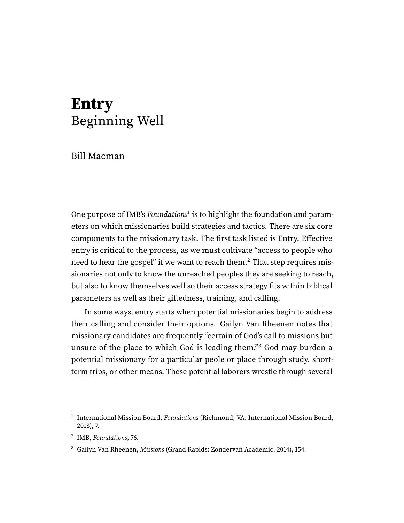## **Entry** Beginning Well

Bill Macman

<span id="page-0-4"></span><span id="page-0-3"></span>One purpose of IMB's  $Foundations<sup>1</sup>$  $Foundations<sup>1</sup>$  $Foundations<sup>1</sup>$  is to highlight the foundation and parameters on which missionaries build strategies and tactics. There are six core components to the missionary task. The first task listed is Entry. Effective entry is critical to the process, as we must cultivate "access to people who need to hear the gospel" if we want to reach them.<sup>[2](#page-0-1)</sup> That step requires missionaries not only to know the unreached peoples they are seeking to reach, but also to know themselves well so their access strategy fits within biblical parameters as well as their giftedness, training, and calling.

<span id="page-0-5"></span>In some ways, entry starts when potential missionaries begin to address their calling and consider their options. Gailyn Van Rheenen notes that missionary candidates are frequently "certain of God's call to missions but unsure of the place to which God is leading them."<sup>[3](#page-0-2)</sup> God may burden a potential missionary for a particular peole or place through study, shortterm trips, or other means. These potential laborers wrestle through several

<span id="page-0-0"></span><sup>&</sup>lt;sup>[1](#page-0-3)</sup> International Mission Board, Foundations (Richmond, VA: International Mission Board, 2018), 7.

<span id="page-0-1"></span><sup>&</sup>lt;sup>[2](#page-0-4)</sup> IMB, Foundations, 76.

<span id="page-0-2"></span><sup>&</sup>lt;sup>[3](#page-0-5)</sup> Gailyn Van Rheenen, Missions (Grand Rapids: Zondervan Academic, 2014), 154.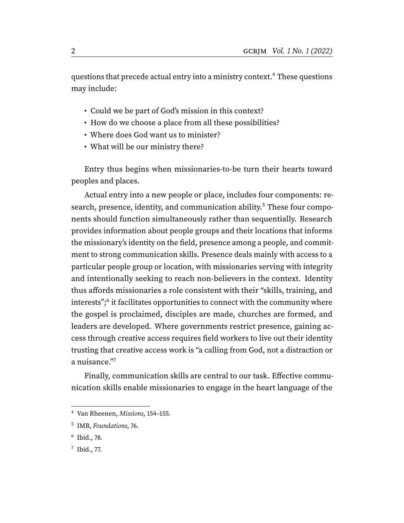questions that precede actual entry into a ministry context.<sup>[4](#page-1-0)</sup> These questions may include:

- <span id="page-1-4"></span>• Could we be part of God's mission in this context?
- How do we choose a place from all these possibilities?
- Where does God want us to minister?
- <span id="page-1-5"></span>• What will be our ministry there?

Entry thus begins when missionaries-to-be turn their hearts toward peoples and places.

Actual entry into a new people or place, includes four components: re-search, presence, identity, and communication ability.<sup>[5](#page-1-1)</sup> These four components should function simultaneously rather than sequentially. Research provides information about people groups and their locations that informs the missionary's identity on the field, presence among a people, and commitment to strong communication skills. Presence deals mainly with access to a particular people group or location, with missionaries serving with integrity and intentionally seeking to reach non-believers in the context. Identity thus affords missionaries a role consistent with their "skills, training, and interests";[6](#page-1-2) it facilitates opportunities to connect with the community where the gospel is proclaimed, disciples are made, churches are formed, and leaders are developed. Where governments restrict presence, gaining access through creative access requires field workers to live out their identity trusting that creative access work is "a calling from God, not a distraction or a nuisance."[7](#page-1-3)

<span id="page-1-7"></span><span id="page-1-6"></span>Finally, communication skills are central to our task. Effective communication skills enable missionaries to engage in the heart language of the

<span id="page-1-0"></span>[<sup>4</sup>](#page-1-4) Van Rheenen, Missions, 154–155.

<span id="page-1-1"></span>[<sup>5</sup>](#page-1-5) IMB, Foundations, 76.

<span id="page-1-2"></span>[<sup>6</sup>](#page-1-6) Ibid., 78.

<span id="page-1-3"></span> $^7$  $^7$  Ibid., 77.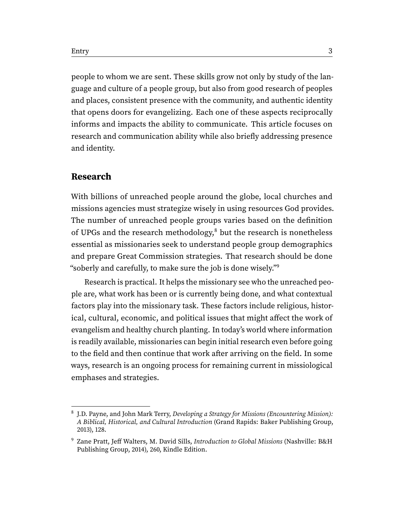people to whom we are sent. These skills grow not only by study of the language and culture of a people group, but also from good research of peoples and places, consistent presence with the community, and authentic identity that opens doors for evangelizing. Each one of these aspects reciprocally informs and impacts the ability to communicate. This article focuses on research and communication ability while also briefly addressing presence and identity.

## **Research**

<span id="page-2-2"></span>With billions of unreached people around the globe, local churches and missions agencies must strategize wisely in using resources God provides. The number of unreached people groups varies based on the definition of UPGs and the research methodology, $\delta$  but the research is nonetheless essential as missionaries seek to understand people group demographics and prepare Great Commission strategies. That research should be done "soberly and carefully, to make sure the job is done wisely."[9](#page-2-1)

<span id="page-2-3"></span>Research is practical. It helps the missionary see who the unreached people are, what work has been or is currently being done, and what contextual factors play into the missionary task. These factors include religious, historical, cultural, economic, and political issues that might affect the work of evangelism and healthy church planting. In today's world where information is readily available, missionaries can begin initial research even before going to the field and then continue that work after arriving on the field. In some ways, research is an ongoing process for remaining current in missiological emphases and strategies.

<span id="page-2-0"></span><sup>&</sup>lt;sup>[8](#page-2-2)</sup> J.D. Payne, and John Mark Terry, Developing a Strategy for Missions (Encountering Mission): A Biblical, Historical, and Cultural Introduction (Grand Rapids: Baker Publishing Group, 2013), 128.

<span id="page-2-1"></span>[<sup>9</sup>](#page-2-3) Zane Pratt, Jeff Walters, M. David Sills, Introduction to Global Missions (Nashville: B&H Publishing Group, 2014), 260, Kindle Edition.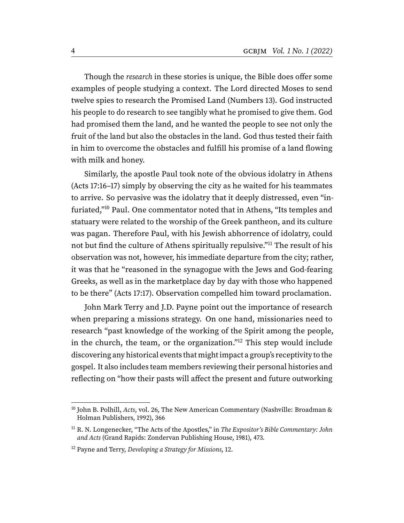Though the research in these stories is unique, the Bible does offer some examples of people studying a context. The Lord directed Moses to send twelve spies to research the Promised Land (Numbers 13). God instructed his people to do research to see tangibly what he promised to give them. God had promised them the land, and he wanted the people to see not only the fruit of the land but also the obstacles in the land. God thus tested their faith in him to overcome the obstacles and fulfill his promise of a land flowing with milk and honey.

<span id="page-3-4"></span><span id="page-3-3"></span>Similarly, the apostle Paul took note of the obvious idolatry in Athens (Acts 17:16–17) simply by observing the city as he waited for his teammates to arrive. So pervasive was the idolatry that it deeply distressed, even "infuriated,"[10](#page-3-0) Paul. One commentator noted that in Athens, "Its temples and statuary were related to the worship of the Greek pantheon, and its culture was pagan. Therefore Paul, with his Jewish abhorrence of idolatry, could not but find the culture of Athens spiritually repulsive."[11](#page-3-1) The result of his observation was not, however, his immediate departure from the city; rather, it was that he "reasoned in the synagogue with the Jews and God-fearing Greeks, as well as in the marketplace day by day with those who happened to be there" (Acts 17:17). Observation compelled him toward proclamation.

<span id="page-3-5"></span>John Mark Terry and J.D. Payne point out the importance of research when preparing a missions strategy. On one hand, missionaries need to research "past knowledge of the working of the Spirit among the people, in the church, the team, or the organization."[12](#page-3-2) This step would include discovering any historical events that might impact a group's receptivity to the gospel. It also includes team members reviewing their personal histories and reflecting on "how their pasts will affect the present and future outworking

<span id="page-3-0"></span><sup>&</sup>lt;sup>[10](#page-3-3)</sup> John B. Polhill, [Acts](https://ref.ly/logosres/nac26?ref=Bible.Ac17.16&off=383&ctx=s+most+unappealing.+~The+NIV+is+too+gentl), vol. 26, The New American Commentary (Nashville: Broadman & Holman Publishers, 1992), 366

<span id="page-3-1"></span> $11$  R. N. Longenecker, "The Acts of the Apostles," in The Expositor's Bible Commentary: John and Acts (Grand Rapids: Zondervan Publishing House, 1981), 473.

<span id="page-3-2"></span> $12$  Payne and Terry, Developing a Strategy for Missions, 12.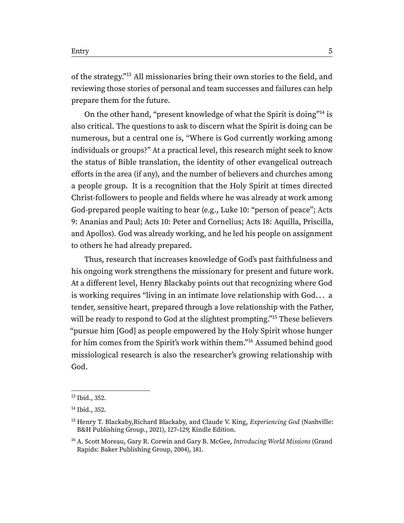<span id="page-4-4"></span>of the strategy."[13](#page-4-0) All missionaries bring their own stories to the field, and reviewing those stories of personal and team successes and failures can help prepare them for the future.

<span id="page-4-5"></span>On the other hand, "present knowledge of what the Spirit is doing"[14](#page-4-1) is also critical. The questions to ask to discern what the Spirit is doing can be numerous, but a central one is, "Where is God currently working among individuals or groups?" At a practical level, this research might seek to know the status of Bible translation, the identity of other evangelical outreach efforts in the area (if any), and the number of believers and churches among a people group. It is a recognition that the Holy Spirit at times directed Christ-followers to people and fields where he was already at work among God-prepared people waiting to hear (e.g., Luke 10: "person of peace"; Acts 9: Ananias and Paul; Acts 10: Peter and Cornelius; Acts 18: Aquilla, Priscilla, and Apollos). God was already working, and he led his people on assignment to others he had already prepared.

<span id="page-4-6"></span>Thus, research that increases knowledge of God's past faithfulness and his ongoing work strengthens the missionary for present and future work. At a different level, Henry Blackaby points out that recognizing where God is working requires "living in an intimate love relationship with God. . . a tender, sensitive heart, prepared through a love relationship with the Father, will be ready to respond to God at the slightest prompting."<sup>[15](#page-4-2)</sup> These believers "pursue him [God] as people empowered by the Holy Spirit whose hunger for him comes from the Spirit's work within them."[16](#page-4-3) Assumed behind good missiological research is also the researcher's growing relationship with God.

<span id="page-4-7"></span><span id="page-4-0"></span>[<sup>13</sup>](#page-4-4) Ibid., 352.

<span id="page-4-1"></span>[<sup>14</sup>](#page-4-5) Ibid., 352.

<span id="page-4-2"></span><sup>&</sup>lt;sup>[15](#page-4-6)</sup> Henry T. Blackaby, Richard Blackaby, and Claude V. King, *Experiencing God* (Nashville: B&H Publishing Group., 2021), 127–129, Kindle Edition.

<span id="page-4-3"></span><sup>&</sup>lt;sup>[16](#page-4-7)</sup> A. Scott Moreau, Gary R. Corwin and Gary B. McGee, Introducing World Missions (Grand Rapids: Baker Publishing Group, 2004), 181.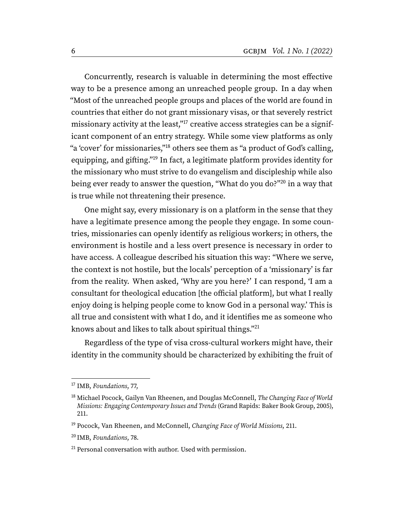<span id="page-5-6"></span><span id="page-5-5"></span>Concurrently, research is valuable in determining the most effective way to be a presence among an unreached people group. In a day when "Most of the unreached people groups and places of the world are found in countries that either do not grant missionary visas, or that severely restrict missionary activity at the least,"<sup>[17](#page-5-0)</sup> creative access strategies can be a significant component of an entry strategy. While some view platforms as only "a 'cover' for missionaries,"[18](#page-5-1) others see them as "a product of God's calling, equipping, and gifting."[19](#page-5-2) In fact, a legitimate platform provides identity for the missionary who must strive to do evangelism and discipleship while also being ever ready to answer the question, "What do you do?"[20](#page-5-3) in a way that is true while not threatening their presence.

<span id="page-5-8"></span><span id="page-5-7"></span>One might say, every missionary is on a platform in the sense that they have a legitimate presence among the people they engage. In some countries, missionaries can openly identify as religious workers; in others, the environment is hostile and a less overt presence is necessary in order to have access. A colleague described his situation this way: "Where we serve, the context is not hostile, but the locals' perception of a 'missionary' is far from the reality. When asked, 'Why are you here?' I can respond, 'I am a consultant for theological education [the official platform], but what I really enjoy doing is helping people come to know God in a personal way.' This is all true and consistent with what I do, and it identifies me as someone who knows about and likes to talk about spiritual things."[21](#page-5-4)

<span id="page-5-9"></span>Regardless of the type of visa cross-cultural workers might have, their identity in the community should be characterized by exhibiting the fruit of

<span id="page-5-0"></span><sup>&</sup>lt;sup>[17](#page-5-5)</sup> IMB, Foundations, 77,

<span id="page-5-1"></span><sup>&</sup>lt;sup>[18](#page-5-6)</sup> Michael Pocock, Gailyn Van Rheenen, and Douglas McConnell, The Changing Face of World Missions: Engaging Contemporary Issues and Trends (Grand Rapids: Baker Book Group, 2005), 211.

<span id="page-5-2"></span> $19$  Pocock, Van Rheenen, and McConnell, Changing Face of World Missions, 211.

<span id="page-5-3"></span>[<sup>20</sup>](#page-5-8) IMB, Foundations, 78.

<span id="page-5-4"></span> $21$  Personal conversation with author. Used with permission.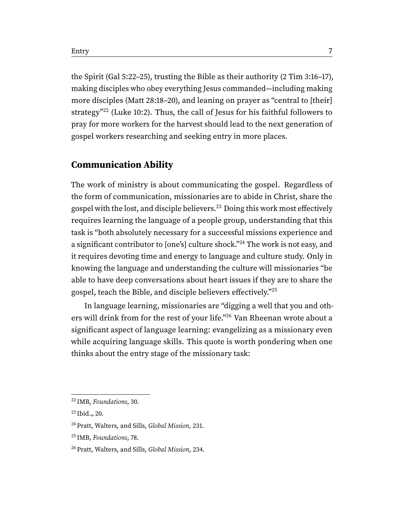<span id="page-6-5"></span>the Spirit (Gal 5:22–25), trusting the Bible as their authority (2 Tim 3:16–17), making disciples who obey everything Jesus commanded—including making more disciples (Matt 28:18–20), and leaning on prayer as "central to [their] strategy"<sup>[22](#page-6-0)</sup> (Luke 10:2). Thus, the call of Jesus for his faithful followers to pray for more workers for the harvest should lead to the next generation of gospel workers researching and seeking entry in more places.

## **Communication Ability**

<span id="page-6-7"></span><span id="page-6-6"></span>The work of ministry is about communicating the gospel. Regardless of the form of communication, missionaries are to abide in Christ, share the gospel with the lost, and disciple believers.<sup>[23](#page-6-1)</sup> Doing this work most effectively requires learning the language of a people group, understanding that this task is "both absolutely necessary for a successful missions experience and a significant contributor to [one's] culture shock."[24](#page-6-2) The work is not easy, and it requires devoting time and energy to language and culture study. Only in knowing the language and understanding the culture will missionaries "be able to have deep conversations about heart issues if they are to share the gospel, teach the Bible, and disciple believers effectively."[25](#page-6-3)

<span id="page-6-9"></span><span id="page-6-8"></span>In language learning, missionaries are "digging a well that you and others will drink from for the rest of your life."[26](#page-6-4) Van Rheenan wrote about a significant aspect of language learning: evangelizing as a missionary even while acquiring language skills. This quote is worth pondering when one thinks about the entry stage of the missionary task:

<span id="page-6-0"></span>[<sup>22</sup>](#page-6-5) IMB, Foundations, 30.

<span id="page-6-1"></span> $23$  Ibid., 20.

<span id="page-6-2"></span><sup>&</sup>lt;sup>[24](#page-6-7)</sup> Pratt, Walters, and Sills, Global Mission, 231.

<span id="page-6-3"></span><sup>&</sup>lt;sup>[25](#page-6-8)</sup> IMB, Foundations, 78.

<span id="page-6-4"></span><sup>&</sup>lt;sup>[26](#page-6-9)</sup> Pratt, Walters, and Sills, Global Mission, 234.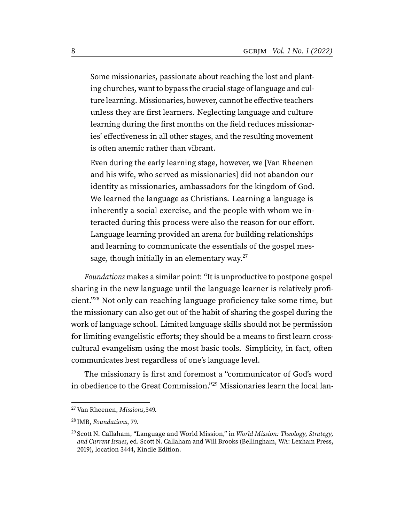Some missionaries, passionate about reaching the lost and planting churches, want to bypass the crucial stage of language and culture learning. Missionaries, however, cannot be effective teachers unless they are first learners. Neglecting language and culture learning during the first months on the field reduces missionaries' effectiveness in all other stages, and the resulting movement is often anemic rather than vibrant.

Even during the early learning stage, however, we [Van Rheenen and his wife, who served as missionaries] did not abandon our identity as missionaries, ambassadors for the kingdom of God. We learned the language as Christians. Learning a language is inherently a social exercise, and the people with whom we interacted during this process were also the reason for our effort. Language learning provided an arena for building relationships and learning to communicate the essentials of the gospel mes-sage, though initially in an elementary way.<sup>[27](#page-7-0)</sup>

<span id="page-7-4"></span><span id="page-7-3"></span>Foundations makes a similar point: "It is unproductive to postpone gospel sharing in the new language until the language learner is relatively proficient."[28](#page-7-1) Not only can reaching language proficiency take some time, but the missionary can also get out of the habit of sharing the gospel during the work of language school. Limited language skills should not be permission for limiting evangelistic efforts; they should be a means to first learn crosscultural evangelism using the most basic tools. Simplicity, in fact, often communicates best regardless of one's language level.

<span id="page-7-5"></span>The missionary is first and foremost a "communicator of God's word in obedience to the Great Commission."[29](#page-7-2) Missionaries learn the local lan-

<span id="page-7-0"></span><sup>&</sup>lt;sup>[27](#page-7-3)</sup> Van Rheenen, Missions, 349.

<span id="page-7-1"></span>[<sup>28</sup>](#page-7-4) IMB, Foundations, 79.

<span id="page-7-2"></span><sup>&</sup>lt;sup>[29](#page-7-5)</sup> Scott N. Callaham, "Language and World Mission," in *World Mission: Theology, Strategy,* and Current Issues, ed. Scott N. Callaham and Will Brooks (Bellingham, WA: Lexham Press, 2019), location 3444, Kindle Edition.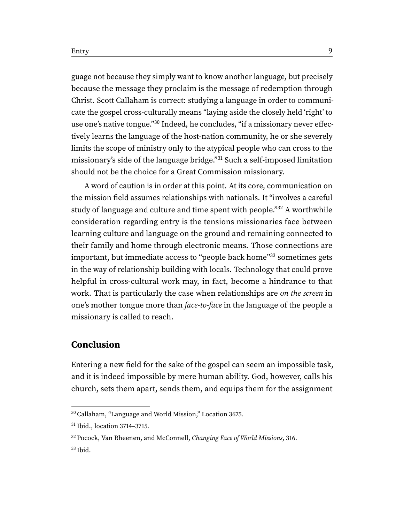<span id="page-8-4"></span>guage not because they simply want to know another language, but precisely because the message they proclaim is the message of redemption through Christ. Scott Callaham is correct: studying a language in order to communicate the gospel cross-culturally means "laying aside the closely held 'right' to use one's native tongue."[30](#page-8-0) Indeed, he concludes, "if a missionary never effectively learns the language of the host-nation community, he or she severely limits the scope of ministry only to the atypical people who can cross to the missionary's side of the language bridge."[31](#page-8-1) Such a self-imposed limitation should not be the choice for a Great Commission missionary.

<span id="page-8-7"></span><span id="page-8-6"></span><span id="page-8-5"></span>A word of caution is in order at this point. At its core, communication on the mission field assumes relationships with nationals. It "involves a careful study of language and culture and time spent with people."<sup>[32](#page-8-2)</sup> A worthwhile consideration regarding entry is the tensions missionaries face between learning culture and language on the ground and remaining connected to their family and home through electronic means. Those connections are important, but immediate access to "people back home"[33](#page-8-3) sometimes gets in the way of relationship building with locals. Technology that could prove helpful in cross-cultural work may, in fact, become a hindrance to that work. That is particularly the case when relationships are on the screen in one's mother tongue more than face-to-face in the language of the people a missionary is called to reach.

## **Conclusion**

Entering a new field for the sake of the gospel can seem an impossible task, and it is indeed impossible by mere human ability. God, however, calls his church, sets them apart, sends them, and equips them for the assignment

<span id="page-8-0"></span>[<sup>30</sup>](#page-8-4) Callaham, "Language and World Mission," Location 3675.

<span id="page-8-1"></span>[<sup>31</sup>](#page-8-5) Ibid., location 3714–3715.

<span id="page-8-3"></span><span id="page-8-2"></span><sup>&</sup>lt;sup>[32](#page-8-6)</sup> Pocock, Van Rheenen, and McConnell, Changing Face of World Missions, 316.  $33$  Ibid.